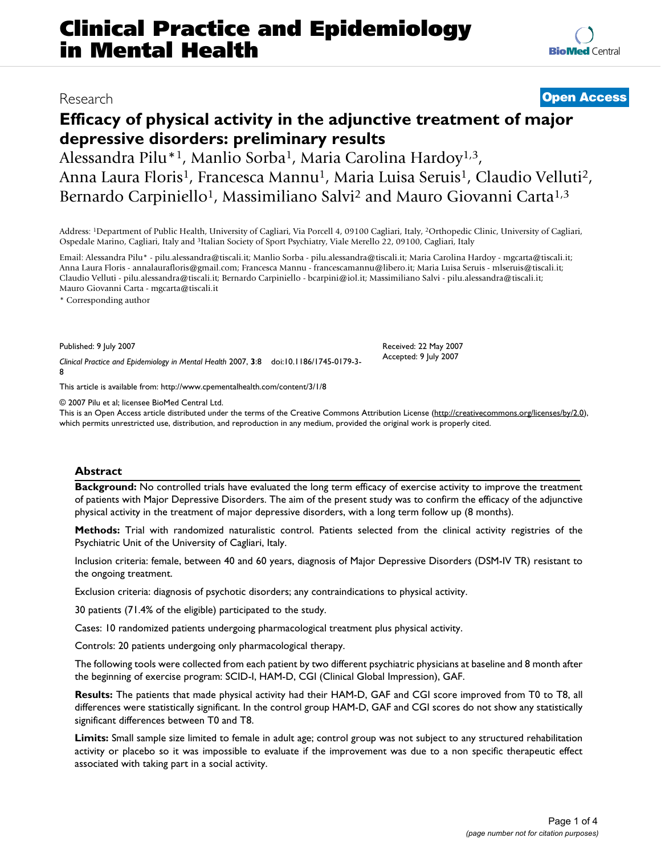## Research **[Open Access](http://www.biomedcentral.com/info/about/charter/)**

**[BioMed](http://www.biomedcentral.com/)** Central

# **Efficacy of physical activity in the adjunctive treatment of major depressive disorders: preliminary results**

Alessandra Pilu<sup>\*1</sup>, Manlio Sorba<sup>1</sup>, Maria Carolina Hardoy<sup>1,3</sup>, Anna Laura Floris<sup>1</sup>, Francesca Mannu<sup>1</sup>, Maria Luisa Seruis<sup>1</sup>, Claudio Velluti<sup>2</sup>, Bernardo Carpiniello<sup>1</sup>, Massimiliano Salvi<sup>2</sup> and Mauro Giovanni Carta<sup>1,3</sup>

Address: 1Department of Public Health, University of Cagliari, Via Porcell 4, 09100 Cagliari, Italy, 2Orthopedic Clinic, University of Cagliari, Ospedale Marino, Cagliari, Italy and 3Italian Society of Sport Psychiatry, Viale Merello 22, 09100, Cagliari, Italy

Email: Alessandra Pilu\* - pilu.alessandra@tiscali.it; Manlio Sorba - pilu.alessandra@tiscali.it; Maria Carolina Hardoy - mgcarta@tiscali.it; Anna Laura Floris - annalaurafloris@gmail.com; Francesca Mannu - francescamannu@libero.it; Maria Luisa Seruis - mlseruis@tiscali.it; Claudio Velluti - pilu.alessandra@tiscali.it; Bernardo Carpiniello - bcarpini@iol.it; Massimiliano Salvi - pilu.alessandra@tiscali.it; Mauro Giovanni Carta - mgcarta@tiscali.it

\* Corresponding author

Published: 9 July 2007

*Clinical Practice and Epidemiology in Mental Health* 2007, **3**:8 doi:10.1186/1745-0179-3- 8

[This article is available from: http://www.cpementalhealth.com/content/3/1/8](http://www.cpementalhealth.com/content/3/1/8)

© 2007 Pilu et al; licensee BioMed Central Ltd.

This is an Open Access article distributed under the terms of the Creative Commons Attribution License [\(http://creativecommons.org/licenses/by/2.0\)](http://creativecommons.org/licenses/by/2.0), which permits unrestricted use, distribution, and reproduction in any medium, provided the original work is properly cited.

Received: 22 May 2007 Accepted: 9 July 2007

#### **Abstract**

**Background:** No controlled trials have evaluated the long term efficacy of exercise activity to improve the treatment of patients with Major Depressive Disorders. The aim of the present study was to confirm the efficacy of the adjunctive physical activity in the treatment of major depressive disorders, with a long term follow up (8 months).

**Methods:** Trial with randomized naturalistic control. Patients selected from the clinical activity registries of the Psychiatric Unit of the University of Cagliari, Italy.

Inclusion criteria: female, between 40 and 60 years, diagnosis of Major Depressive Disorders (DSM-IV TR) resistant to the ongoing treatment.

Exclusion criteria: diagnosis of psychotic disorders; any contraindications to physical activity.

30 patients (71.4% of the eligible) participated to the study.

Cases: 10 randomized patients undergoing pharmacological treatment plus physical activity.

Controls: 20 patients undergoing only pharmacological therapy.

The following tools were collected from each patient by two different psychiatric physicians at baseline and 8 month after the beginning of exercise program: SCID-I, HAM-D, CGI (Clinical Global Impression), GAF.

**Results:** The patients that made physical activity had their HAM-D, GAF and CGI score improved from T0 to T8, all differences were statistically significant. In the control group HAM-D, GAF and CGI scores do not show any statistically significant differences between T0 and T8.

**Limits:** Small sample size limited to female in adult age; control group was not subject to any structured rehabilitation activity or placebo so it was impossible to evaluate if the improvement was due to a non specific therapeutic effect associated with taking part in a social activity.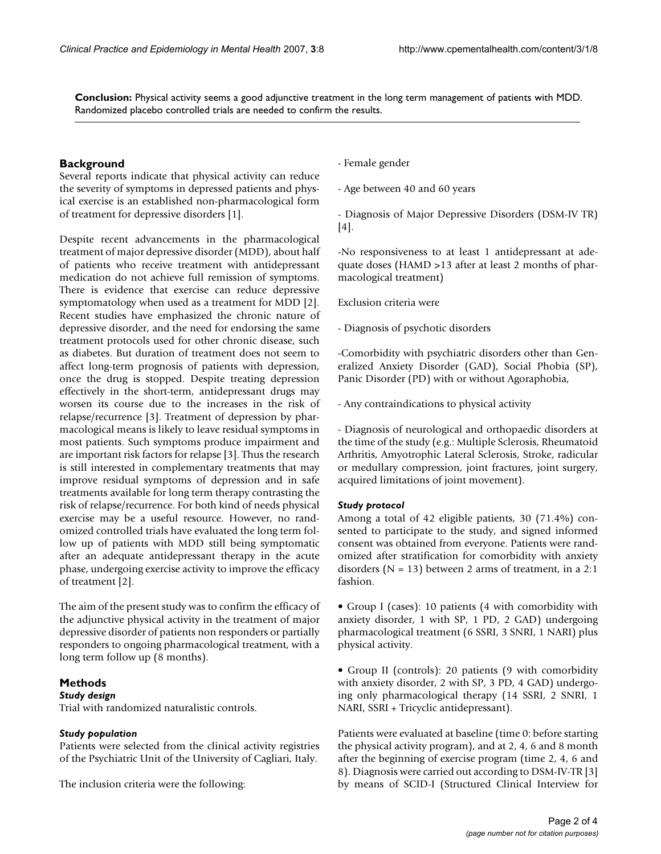**Conclusion:** Physical activity seems a good adjunctive treatment in the long term management of patients with MDD. Randomized placebo controlled trials are needed to confirm the results.

#### **Background**

Several reports indicate that physical activity can reduce the severity of symptoms in depressed patients and physical exercise is an established non-pharmacological form of treatment for depressive disorders [1].

Despite recent advancements in the pharmacological treatment of major depressive disorder (MDD), about half of patients who receive treatment with antidepressant medication do not achieve full remission of symptoms. There is evidence that exercise can reduce depressive symptomatology when used as a treatment for MDD [2]. Recent studies have emphasized the chronic nature of depressive disorder, and the need for endorsing the same treatment protocols used for other chronic disease, such as diabetes. But duration of treatment does not seem to affect long-term prognosis of patients with depression, once the drug is stopped. Despite treating depression effectively in the short-term, antidepressant drugs may worsen its course due to the increases in the risk of relapse/recurrence [3]. Treatment of depression by pharmacological means is likely to leave residual symptoms in most patients. Such symptoms produce impairment and are important risk factors for relapse [3]. Thus the research is still interested in complementary treatments that may improve residual symptoms of depression and in safe treatments available for long term therapy contrasting the risk of relapse/recurrence. For both kind of needs physical exercise may be a useful resource. However, no randomized controlled trials have evaluated the long term follow up of patients with MDD still being symptomatic after an adequate antidepressant therapy in the acute phase, undergoing exercise activity to improve the efficacy of treatment [2].

The aim of the present study was to confirm the efficacy of the adjunctive physical activity in the treatment of major depressive disorder of patients non responders or partially responders to ongoing pharmacological treatment, with a long term follow up (8 months).

#### **Methods**

### *Study design*

Trial with randomized naturalistic controls.

#### *Study population*

Patients were selected from the clinical activity registries of the Psychiatric Unit of the University of Cagliari, Italy.

The inclusion criteria were the following:

- Female gender

- Age between 40 and 60 years

- Diagnosis of Major Depressive Disorders (DSM-IV TR) [4].

-No responsiveness to at least 1 antidepressant at adequate doses (HAMD >13 after at least 2 months of pharmacological treatment)

Exclusion criteria were

- Diagnosis of psychotic disorders

-Comorbidity with psychiatric disorders other than Generalized Anxiety Disorder (GAD), Social Phobia (SP), Panic Disorder (PD) with or without Agoraphobia,

- Any contraindications to physical activity

- Diagnosis of neurological and orthopaedic disorders at the time of the study (e.g.: Multiple Sclerosis, Rheumatoid Arthritis, Amyotrophic Lateral Sclerosis, Stroke, radicular or medullary compression, joint fractures, joint surgery, acquired limitations of joint movement).

#### *Study protocol*

Among a total of 42 eligible patients, 30 (71.4%) consented to participate to the study, and signed informed consent was obtained from everyone. Patients were randomized after stratification for comorbidity with anxiety disorders ( $N = 13$ ) between 2 arms of treatment, in a 2:1 fashion.

• Group I (cases): 10 patients (4 with comorbidity with anxiety disorder, 1 with SP, 1 PD, 2 GAD) undergoing pharmacological treatment (6 SSRI, 3 SNRI, 1 NARI) plus physical activity.

• Group II (controls): 20 patients (9 with comorbidity with anxiety disorder, 2 with SP, 3 PD, 4 GAD) undergoing only pharmacological therapy (14 SSRI, 2 SNRI, 1 NARI, SSRI + Tricyclic antidepressant).

Patients were evaluated at baseline (time 0: before starting the physical activity program), and at 2, 4, 6 and 8 month after the beginning of exercise program (time 2, 4, 6 and 8). Diagnosis were carried out according to DSM-IV-TR [3] by means of SCID-I (Structured Clinical Interview for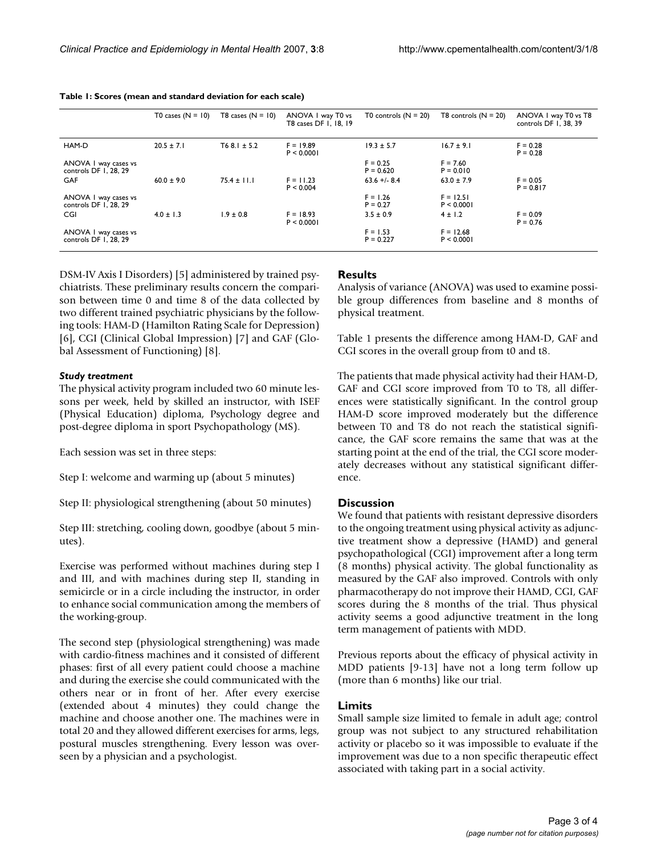| Table 1: Scores (mean and standard deviation for each scale) |  |
|--------------------------------------------------------------|--|
|--------------------------------------------------------------|--|

|                                               | T0 cases $(N = 10)$ | T8 cases $(N = 10)$ | ANOVA I way T0 vs<br>T8 cases DF 1, 18, 19 | T0 controls $(N = 20)$    | T8 controls $(N = 20)$    | ANOVA I way T0 vs T8<br>controls DF 1, 38, 39 |
|-----------------------------------------------|---------------------|---------------------|--------------------------------------------|---------------------------|---------------------------|-----------------------------------------------|
| HAM-D                                         | $20.5 \pm 7.1$      | $T68.1 \pm 5.2$     | $F = 19.89$<br>P < 0.0001                  | $19.3 \pm 5.7$            | $16.7 \pm 9.1$            | $F = 0.28$<br>$P = 0.28$                      |
| ANOVA I way cases vs<br>controls DF 1, 28, 29 |                     |                     |                                            | $F = 0.25$<br>$P = 0.620$ | $F = 7.60$<br>$P = 0.010$ |                                               |
| GAF                                           | $60.0 \pm 9.0$      | $75.4 \pm 11.1$     | $F = 11.23$<br>P < 0.004                   | $63.6 + 8.4$              | $63.0 \pm 7.9$            | $F = 0.05$<br>$P = 0.817$                     |
| ANOVA I way cases vs<br>controls DF 1, 28, 29 |                     |                     |                                            | $F = 1.26$<br>$P = 0.27$  | $F = 12.51$<br>P < 0.0001 |                                               |
| CGI                                           | $4.0 \pm 1.3$       | $1.9 \pm 0.8$       | $F = 18.93$<br>P < 0.0001                  | $3.5 \pm 0.9$             | $4 \pm 1.2$               | $F = 0.09$<br>$P = 0.76$                      |
| ANOVA I way cases vs<br>controls DF 1, 28, 29 |                     |                     |                                            | $F = 1.53$<br>$P = 0.227$ | $F = 12.68$<br>P < 0.0001 |                                               |

DSM-IV Axis I Disorders) [5] administered by trained psychiatrists. These preliminary results concern the comparison between time 0 and time 8 of the data collected by two different trained psychiatric physicians by the following tools: HAM-D (Hamilton Rating Scale for Depression) [6], CGI (Clinical Global Impression) [7] and GAF (Global Assessment of Functioning) [8].

#### *Study treatment*

The physical activity program included two 60 minute lessons per week, held by skilled an instructor, with ISEF (Physical Education) diploma, Psychology degree and post-degree diploma in sport Psychopathology (MS).

Each session was set in three steps:

Step I: welcome and warming up (about 5 minutes)

Step II: physiological strengthening (about 50 minutes)

Step III: stretching, cooling down, goodbye (about 5 minutes).

Exercise was performed without machines during step I and III, and with machines during step II, standing in semicircle or in a circle including the instructor, in order to enhance social communication among the members of the working-group.

The second step (physiological strengthening) was made with cardio-fitness machines and it consisted of different phases: first of all every patient could choose a machine and during the exercise she could communicated with the others near or in front of her. After every exercise (extended about 4 minutes) they could change the machine and choose another one. The machines were in total 20 and they allowed different exercises for arms, legs, postural muscles strengthening. Every lesson was overseen by a physician and a psychologist.

#### **Results**

Analysis of variance (ANOVA) was used to examine possible group differences from baseline and 8 months of physical treatment.

Table 1 presents the difference among HAM-D, GAF and CGI scores in the overall group from t0 and t8.

The patients that made physical activity had their HAM-D, GAF and CGI score improved from T0 to T8, all differences were statistically significant. In the control group HAM-D score improved moderately but the difference between T0 and T8 do not reach the statistical significance, the GAF score remains the same that was at the starting point at the end of the trial, the CGI score moderately decreases without any statistical significant difference.

#### **Discussion**

We found that patients with resistant depressive disorders to the ongoing treatment using physical activity as adjunctive treatment show a depressive (HAMD) and general psychopathological (CGI) improvement after a long term (8 months) physical activity. The global functionality as measured by the GAF also improved. Controls with only pharmacotherapy do not improve their HAMD, CGI, GAF scores during the 8 months of the trial. Thus physical activity seems a good adjunctive treatment in the long term management of patients with MDD.

Previous reports about the efficacy of physical activity in MDD patients [9-13] have not a long term follow up (more than 6 months) like our trial.

#### **Limits**

Small sample size limited to female in adult age; control group was not subject to any structured rehabilitation activity or placebo so it was impossible to evaluate if the improvement was due to a non specific therapeutic effect associated with taking part in a social activity.